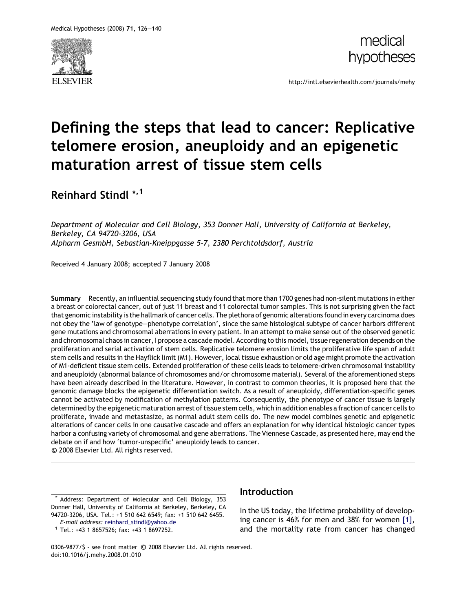



http://intl.elsevierhealth.com/journals/mehy

# Defining the steps that lead to cancer: Replicative telomere erosion, aneuploidy and an epigenetic maturation arrest of tissue stem cells

Reinhard Stindl \*,1

Department of Molecular and Cell Biology, 353 Donner Hall, University of California at Berkeley, Berkeley, CA 94720-3206, USA Alpharm GesmbH, Sebastian-Kneippgasse 5-7, 2380 Perchtoldsdorf, Austria

Received 4 January 2008; accepted 7 January 2008

Summary Recently, an influential sequencing study found that more than 1700 genes had non-silent mutations in either a breast or colorectal cancer, out of just 11 breast and 11 colorectal tumor samples. This is not surprising given the fact that genomic instability is the hallmark of cancer cells. The plethora of genomic alterations found in every carcinoma does not obey the 'law of genotype–phenotype correlation', since the same histological subtype of cancer harbors different gene mutations and chromosomal aberrations in every patient. In an attempt to make sense out of the observed genetic and chromosomal chaos in cancer, I propose a cascade model. According to this model, tissue regeneration depends on the proliferation and serial activation of stem cells. Replicative telomere erosion limits the proliferative life span of adult stem cells and results in the Hayflick limit (M1). However, local tissue exhaustion or old age might promote the activation of M1-deficient tissue stem cells. Extended proliferation of these cells leads to telomere-driven chromosomal instability and aneuploidy (abnormal balance of chromosomes and/or chromosome material). Several of the aforementioned steps have been already described in the literature. However, in contrast to common theories, it is proposed here that the genomic damage blocks the epigenetic differentiation switch. As a result of aneuploidy, differentiation-specific genes cannot be activated by modification of methylation patterns. Consequently, the phenotype of cancer tissue is largely determined by the epigenetic maturation arrest of tissue stem cells, which in addition enables a fraction of cancer cells to proliferate, invade and metastasize, as normal adult stem cells do. The new model combines genetic and epigenetic alterations of cancer cells in one causative cascade and offers an explanation for why identical histologic cancer types harbor a confusing variety of chromosomal and gene aberrations. The Viennese Cascade, as presented here, may end the debate on if and how 'tumor-unspecific' aneuploidy leads to cancer. -c 2008 Elsevier Ltd. All rights reserved.

\* Address: Department of Molecular and Cell Biology, 353 Donner Hall, University of California at Berkeley, Berkeley, CA 94720-3206, USA. Tel.: +1 510 642 6549; fax: +1 510 642 6455.

E-mail address: [reinhard\\_stindl@yahoo.de](mailto:reinhard_stindl@yahoo.de) <sup>1</sup> Tel.: +43 1 8657526; fax: +43 1 8697252.

## **Introduction**

In the US today, the lifetime probability of developing cancer is 46% for men and 38% for women [\[1\],](#page-11-0) and the mortality rate from cancer has changed

0306-9877/\$ - see front matter © 2008 Elsevier Ltd. All rights reserved. doi:10.1016/j.mehy.2008.01.010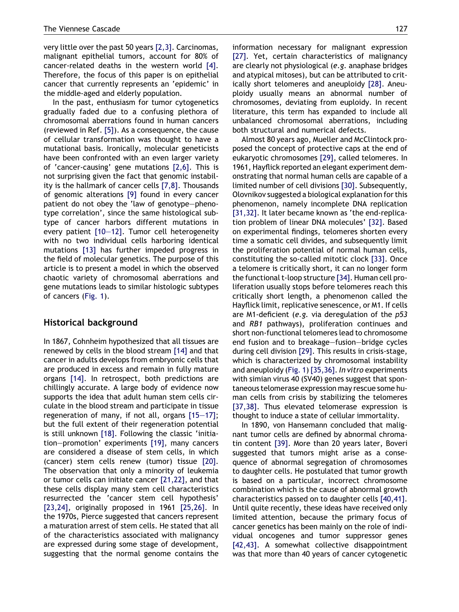very little over the past 50 years [\[2,3\].](#page-11-0) Carcinomas, malignant epithelial tumors, account for 80% of cancer-related deaths in the western world [\[4\]](#page-11-0). Therefore, the focus of this paper is on epithelial cancer that currently represents an 'epidemic' in the middle-aged and elderly population.

In the past, enthusiasm for tumor cytogenetics gradually faded due to a confusing plethora of chromosomal aberrations found in human cancers (reviewed in Ref. [\[5\]\)](#page-11-0). As a consequence, the cause of cellular transformation was thought to have a mutational basis. Ironically, molecular geneticists have been confronted with an even larger variety of 'cancer-causing' gene mutations [\[2,6\].](#page-11-0) This is not surprising given the fact that genomic instability is the hallmark of cancer cells [\[7,8\].](#page-11-0) Thousands of genomic alterations [\[9\]](#page-11-0) found in every cancer patient do not obey the 'law of genotype–phenotype correlation', since the same histological subtype of cancer harbors different mutations in every patient [\[10–12\]](#page-11-0). Tumor cell heterogeneity with no two individual cells harboring identical mutations [\[13\]](#page-11-0) has further impeded progress in the field of molecular genetics. The purpose of this article is to present a model in which the observed chaotic variety of chromosomal aberrations and gene mutations leads to similar histologic subtypes of cancers ([Fig. 1](#page-2-0)).

#### Historical background

In 1867, Cohnheim hypothesized that all tissues are renewed by cells in the blood stream [\[14\]](#page-11-0) and that cancer in adults develops from embryonic cells that are produced in excess and remain in fully mature organs [\[14\].](#page-11-0) In retrospect, both predictions are chillingly accurate. A large body of evidence now supports the idea that adult human stem cells circulate in the blood stream and participate in tissue regeneration of many, if not all, organs [\[15–17\]](#page-11-0); but the full extent of their regeneration potential is still unknown [\[18\].](#page-11-0) Following the classic 'initiation–promotion' experiments [\[19\]](#page-11-0), many cancers are considered a disease of stem cells, in which (cancer) stem cells renew (tumor) tissue [\[20\]](#page-11-0). The observation that only a minority of leukemia or tumor cells can initiate cancer [\[21,22\],](#page-11-0) and that these cells display many stem cell characteristics resurrected the 'cancer stem cell hypothesis' [\[23,24\]](#page-11-0), originally proposed in 1961 [\[25,26\].](#page-11-0) In the 1970s, Pierce suggested that cancers represent a maturation arrest of stem cells. He stated that all of the characteristics associated with malignancy are expressed during some stage of development, suggesting that the normal genome contains the information necessary for malignant expression [\[27\]](#page-11-0). Yet, certain characteristics of malignancy are clearly not physiological (e.g. anaphase bridges and atypical mitoses), but can be attributed to critically short telomeres and aneuploidy [\[28\]](#page-11-0). Aneuploidy usually means an abnormal number of chromosomes, deviating from euploidy. In recent literature, this term has expanded to include all unbalanced chromosomal aberrations, including both structural and numerical defects.

Almost 80 years ago, Mueller and McClintock proposed the concept of protective caps at the end of eukaryotic chromosomes [\[29\],](#page-11-0) called telomeres. In 1961, Hayflick reported an elegant experiment demonstrating that normal human cells are capable of a limited number of cell divisions [\[30\].](#page-11-0) Subsequently, Olovnikov suggested a biological explanation for this phenomenon, namely incomplete DNA replication [\[31,32\]](#page-11-0). It later became known as 'the end-replication problem of linear DNA molecules' [\[32\]](#page-11-0). Based on experimental findings, telomeres shorten every time a somatic cell divides, and subsequently limit the proliferation potential of normal human cells, constituting the so-called mitotic clock [\[33\]](#page-11-0). Once a telomere is critically short, it can no longer form the functional t-loop structure [\[34\]](#page-11-0). Human cell proliferation usually stops before telomeres reach this critically short length, a phenomenon called the Hayflick limit, replicative senescence, or M1. If cells are M1-deficient (e.g. via deregulation of the p53 and RB1 pathways), proliferation continues and short non-functional telomeres lead to chromosome end fusion and to breakage–fusion–bridge cycles during cell division [\[29\]](#page-11-0). This results in crisis-stage, which is characterized by chromosomal instability and aneuploidy ([Fig. 1](#page-2-0)) [\[35,36\].](#page-11-0) In vitro experiments with simian virus 40 (SV40) genes suggest that spontaneous telomerase expression may rescue some human cells from crisis by stabilizing the telomeres [\[37,38\]](#page-11-0). Thus elevated telomerase expression is thought to induce a state of cellular immortality.

In 1890, von Hansemann concluded that malignant tumor cells are defined by abnormal chromatin content [\[39\].](#page-11-0) More than 20 years later, Boveri suggested that tumors might arise as a consequence of abnormal segregation of chromosomes to daughter cells. He postulated that tumor growth is based on a particular, incorrect chromosome combination which is the cause of abnormal growth characteristics passed on to daughter cells [\[40,41\]](#page-12-0). Until quite recently, these ideas have received only limited attention, because the primary focus of cancer genetics has been mainly on the role of individual oncogenes and tumor suppressor genes [\[42,43\]](#page-12-0). A somewhat collective disappointment was that more than 40 years of cancer cytogenetic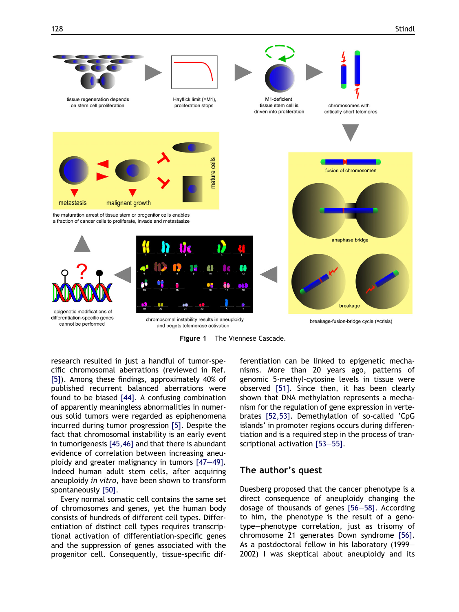<span id="page-2-0"></span>



research resulted in just a handful of tumor-specific chromosomal aberrations (reviewed in Ref. [\[5\]\)](#page-11-0). Among these findings, approximately 40% of published recurrent balanced aberrations were found to be biased [\[44\]](#page-12-0). A confusing combination of apparently meaningless abnormalities in numerous solid tumors were regarded as epiphenomena incurred during tumor progression [\[5\]](#page-11-0). Despite the fact that chromosomal instability is an early event in tumorigenesis [\[45,46\]](#page-12-0) and that there is abundant evidence of correlation between increasing aneuploidy and greater malignancy in tumors [\[47–49\].](#page-12-0) Indeed human adult stem cells, after acquiring aneuploidy in vitro, have been shown to transform spontaneously [\[50\]](#page-12-0).

Every normal somatic cell contains the same set of chromosomes and genes, yet the human body consists of hundreds of different cell types. Differentiation of distinct cell types requires transcriptional activation of differentiation-specific genes and the suppression of genes associated with the progenitor cell. Consequently, tissue-specific differentiation can be linked to epigenetic mechanisms. More than 20 years ago, patterns of genomic 5-methyl-cytosine levels in tissue were observed [\[51\].](#page-12-0) Since then, it has been clearly shown that DNA methylation represents a mechanism for the regulation of gene expression in vertebrates [\[52,53\].](#page-12-0) Demethylation of so-called 'CpG islands' in promoter regions occurs during differentiation and is a required step in the process of transcriptional activation [\[53–55\].](#page-12-0)

#### The author's quest

Duesberg proposed that the cancer phenotype is a direct consequence of aneuploidy changing the dosage of thousands of genes [\[56–58\].](#page-12-0) According to him, the phenotype is the result of a genotype–phenotype correlation, just as trisomy of chromosome 21 generates Down syndrome [\[56\].](#page-12-0) As a postdoctoral fellow in his laboratory (1999– 2002) I was skeptical about aneuploidy and its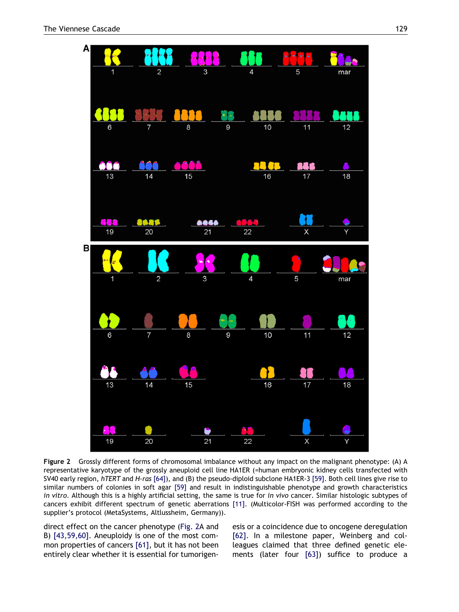<span id="page-3-0"></span>

Figure 2 Grossly different forms of chromosomal imbalance without any impact on the malignant phenotype: (A) A representative karyotype of the grossly aneuploid cell line HA1ER (=human embryonic kidney cells transfected with SV40 early region, hTERT and H-ras [\[64\]\)](#page-12-0), and (B) the pseudo-diploid subclone HA1ER-3 [\[59\].](#page-12-0) Both cell lines give rise to similar numbers of colonies in soft agar [\[59\]](#page-12-0) and result in indistinguishable phenotype and growth characteristics in vitro. Although this is a highly artificial setting, the same is true for in vivo cancer. Similar histologic subtypes of cancers exhibit different spectrum of genetic aberrations [\[11\].](#page-11-0) (Multicolor-FISH was performed according to the supplier's protocol (MetaSystems, Altlussheim, Germany)).

direct effect on the cancer phenotype (Fig. 2A and B) [\[43,59,60\]](#page-12-0). Aneuploidy is one of the most common properties of cancers [\[61\]](#page-12-0), but it has not been entirely clear whether it is essential for tumorigenesis or a coincidence due to oncogene deregulation [\[62\]](#page-12-0). In a milestone paper, Weinberg and colleagues claimed that three defined genetic elements (later four [\[63\]\)](#page-12-0) suffice to produce a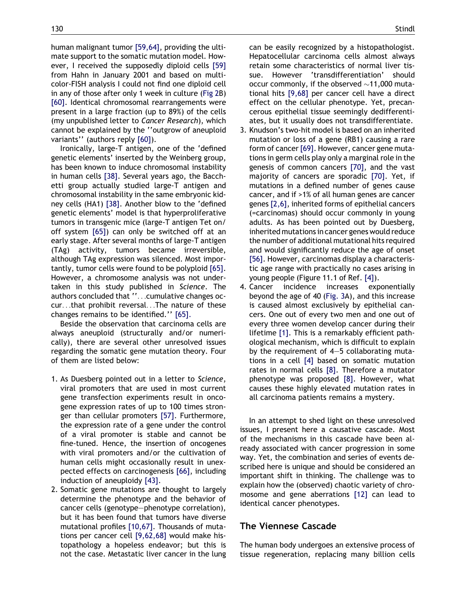human malignant tumor [\[59,64\]](#page-12-0), providing the ultimate support to the somatic mutation model. However, I received the supposedly diploid cells [\[59\]](#page-12-0) from Hahn in January 2001 and based on multicolor-FISH analysis I could not find one diploid cell in any of those after only 1 week in culture [\(Fig 2](#page-3-0)B) [\[60\]](#page-12-0). Identical chromosomal rearrangements were present in a large fraction (up to 89%) of the cells (my unpublished letter to Cancer Research), which cannot be explained by the ''outgrow of aneuploid variants'' (authors reply [\[60\]](#page-12-0)).

Ironically, large-T antigen, one of the 'defined genetic elements' inserted by the Weinberg group, has been known to induce chromosomal instability in human cells [\[38\].](#page-11-0) Several years ago, the Bacchetti group actually studied large-T antigen and chromosomal instability in the same embryonic kidney cells (HA1) [\[38\]](#page-11-0). Another blow to the 'defined genetic elements' model is that hyperproliferative tumors in transgenic mice (large-T antigen Tet on/ off system [\[65\]\)](#page-12-0) can only be switched off at an early stage. After several months of large-T antigen (TAg) activity, tumors became irreversible, although TAg expression was silenced. Most importantly, tumor cells were found to be polyploid [\[65\].](#page-12-0) However, a chromosome analysis was not undertaken in this study published in Science. The authors concluded that ''...cumulative changes occur...that prohibit reversal...The nature of these changes remains to be identified.'' [\[65\].](#page-12-0)

Beside the observation that carcinoma cells are always aneuploid (structurally and/or numerically), there are several other unresolved issues regarding the somatic gene mutation theory. Four of them are listed below:

- 1. As Duesberg pointed out in a letter to Science, viral promoters that are used in most current gene transfection experiments result in oncogene expression rates of up to 100 times stronger than cellular promoters [\[57\]](#page-12-0). Furthermore, the expression rate of a gene under the control of a viral promoter is stable and cannot be fine-tuned. Hence, the insertion of oncogenes with viral promoters and/or the cultivation of human cells might occasionally result in unexpected effects on carcinogenesis [\[66\],](#page-12-0) including induction of aneuploidy [\[43\]](#page-12-0).
- 2. Somatic gene mutations are thought to largely determine the phenotype and the behavior of cancer cells (genotype–phenotype correlation), but it has been found that tumors have diverse mutational profiles [\[10,67\]](#page-11-0). Thousands of mutations per cancer cell [\[9,62,68\]](#page-11-0) would make histopathology a hopeless endeavor; but this is not the case. Metastatic liver cancer in the lung

can be easily recognized by a histopathologist. Hepatocellular carcinoma cells almost always retain some characteristics of normal liver tissue. However 'transdifferentiation' should occur commonly, if the observed  $\sim$ 11,000 mutational hits [\[9,68\]](#page-11-0) per cancer cell have a direct effect on the cellular phenotype. Yet, precancerous epithelial tissue seemingly dedifferentiates, but it usually does not transdifferentiate.

- 3. Knudson's two-hit model is based on an inherited mutation or loss of a gene (RB1) causing a rare form of cancer [\[69\]](#page-12-0). However, cancer gene mutations in germ cells play only a marginal role in the genesis of common cancers [\[70\]](#page-12-0), and the vast majority of cancers are sporadic [\[70\].](#page-12-0) Yet, if mutations in a defined number of genes cause cancer, and if >1% of all human genes are cancer genes [\[2,6\]](#page-11-0), inherited forms of epithelial cancers (=carcinomas) should occur commonly in young adults. As has been pointed out by Duesberg, inherited mutations in cancer genes would reduce the number of additional mutational hits required and would significantly reduce the age of onset [\[56\]](#page-12-0). However, carcinomas display a characteristic age range with practically no cases arising in young people (Figure 11.1 of Ref. [\[4\]\)](#page-11-0).
- 4. Cancer incidence increases exponentially beyond the age of 40 [\(Fig. 3A](#page-9-0)), and this increase is caused almost exclusively by epithelial cancers. One out of every two men and one out of every three women develop cancer during their lifetime [\[1\].](#page-11-0) This is a remarkably efficient pathological mechanism, which is difficult to explain by the requirement of 4–5 collaborating mutations in a cell [\[4\]](#page-11-0) based on somatic mutation rates in normal cells [\[8\].](#page-11-0) Therefore a mutator phenotype was proposed [\[8\]](#page-11-0). However, what causes these highly elevated mutation rates in all carcinoma patients remains a mystery.

In an attempt to shed light on these unresolved issues, I present here a causative cascade. Most of the mechanisms in this cascade have been already associated with cancer progression in some way. Yet, the combination and series of events described here is unique and should be considered an important shift in thinking. The challenge was to explain how the (observed) chaotic variety of chromosome and gene aberrations [\[12\]](#page-11-0) can lead to identical cancer phenotypes.

# The Viennese Cascade

The human body undergoes an extensive process of tissue regeneration, replacing many billion cells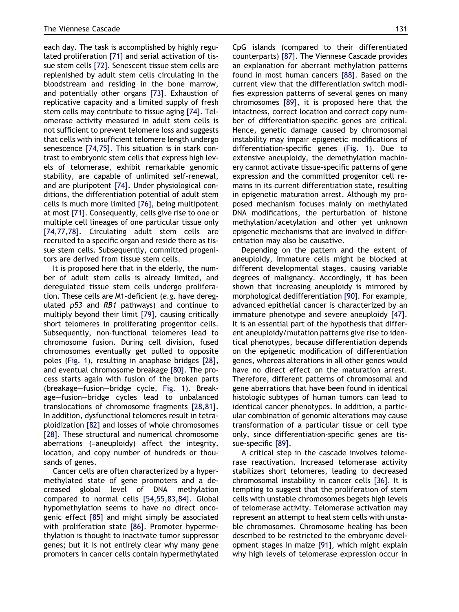each day. The task is accomplished by highly regulated proliferation [\[71\]](#page-12-0) and serial activation of tissue stem cells [\[72\].](#page-12-0) Senescent tissue stem cells are replenished by adult stem cells circulating in the bloodstream and residing in the bone marrow, and potentially other organs [\[73\].](#page-12-0) Exhaustion of replicative capacity and a limited supply of fresh stem cells may contribute to tissue aging [\[74\].](#page-12-0) Telomerase activity measured in adult stem cells is not sufficient to prevent telomere loss and suggests that cells with insufficient telomere length undergo senescence [\[74,75\].](#page-12-0) This situation is in stark contrast to embryonic stem cells that express high levels of telomerase, exhibit remarkable genomic stability, are capable of unlimited self-renewal, and are pluripotent [\[74\].](#page-12-0) Under physiological conditions, the differentiation potential of adult stem cells is much more limited [\[76\],](#page-12-0) being multipotent at most [\[71\]](#page-12-0). Consequently, cells give rise to one or multiple cell lineages of one particular tissue only [\[74,77,78\]](#page-12-0). Circulating adult stem cells are recruited to a specific organ and reside there as tissue stem cells. Subsequently, committed progenitors are derived from tissue stem cells.

It is proposed here that in the elderly, the number of adult stem cells is already limited, and deregulated tissue stem cells undergo proliferation. These cells are M1-deficient (e.g. have deregulated p53 and RB1 pathways) and continue to multiply beyond their limit [\[79\]](#page-12-0), causing critically short telomeres in proliferating progenitor cells. Subsequently, non-functional telomeres lead to chromosome fusion. During cell division, fused chromosomes eventually get pulled to opposite poles ([Fig. 1\)](#page-2-0), resulting in anaphase bridges [\[28\]](#page-11-0), and eventual chromosome breakage [\[80\].](#page-12-0) The process starts again with fusion of the broken parts (breakage–fusion–bridge cycle, [Fig. 1\)](#page-2-0). Breakage–fusion–bridge cycles lead to unbalanced translocations of chromosome fragments [\[28,81\]](#page-11-0). In addition, dysfunctional telomeres result in tetraploidization [\[82\]](#page-13-0) and losses of whole chromosomes [\[28\]](#page-11-0). These structural and numerical chromosome aberrations (=aneuploidy) affect the integrity, location, and copy number of hundreds or thousands of genes.

Cancer cells are often characterized by a hypermethylated state of gene promoters and a decreased global level of DNA methylation compared to normal cells [\[54,55,83,84\]](#page-12-0). Global hypomethylation seems to have no direct oncogenic effect [\[85\]](#page-13-0) and might simply be associated with proliferation state [\[86\].](#page-13-0) Promoter hypermethylation is thought to inactivate tumor suppressor genes; but it is not entirely clear why many gene promoters in cancer cells contain hypermethylated CpG islands (compared to their differentiated counterparts) [\[87\]](#page-13-0). The Viennese Cascade provides an explanation for aberrant methylation patterns found in most human cancers [\[88\].](#page-13-0) Based on the current view that the differentiation switch modifies expression patterns of several genes on many chromosomes [\[89\]](#page-13-0), it is proposed here that the intactness, correct location and correct copy number of differentiation-specific genes are critical. Hence, genetic damage caused by chromosomal instability may impair epigenetic modifications of differentiation-specific genes [\(Fig. 1](#page-2-0)). Due to extensive aneuploidy, the demethylation machinery cannot activate tissue-specific patterns of gene expression and the committed progenitor cell remains in its current differentiation state, resulting in epigenetic maturation arrest. Although my proposed mechanism focuses mainly on methylated DNA modifications, the perturbation of histone methylation/acetylation and other yet unknown epigenetic mechanisms that are involved in differentiation may also be causative.

Depending on the pattern and the extent of aneuploidy, immature cells might be blocked at different developmental stages, causing variable degrees of malignancy. Accordingly, it has been shown that increasing aneuploidy is mirrored by morphological dedifferentiation [\[90\]](#page-13-0). For example, advanced epithelial cancer is characterized by an immature phenotype and severe aneuploidy [\[47\]](#page-12-0). It is an essential part of the hypothesis that different aneuploidy/mutation patterns give rise to identical phenotypes, because differentiation depends on the epigenetic modification of differentiation genes, whereas alterations in all other genes would have no direct effect on the maturation arrest. Therefore, different patterns of chromosomal and gene aberrations that have been found in identical histologic subtypes of human tumors can lead to identical cancer phenotypes. In addition, a particular combination of genomic alterations may cause transformation of a particular tissue or cell type only, since differentiation-specific genes are tissue-specific [\[89\].](#page-13-0)

A critical step in the cascade involves telomerase reactivation. Increased telomerase activity stabilizes short telomeres, leading to decreased chromosomal instability in cancer cells [\[36\].](#page-11-0) It is tempting to suggest that the proliferation of stem cells with unstable chromosomes begets high levels of telomerase activity. Telomerase activation may represent an attempt to heal stem cells with unstable chromosomes. Chromosome healing has been described to be restricted to the embryonic development stages in maize [\[91\],](#page-13-0) which might explain why high levels of telomerase expression occur in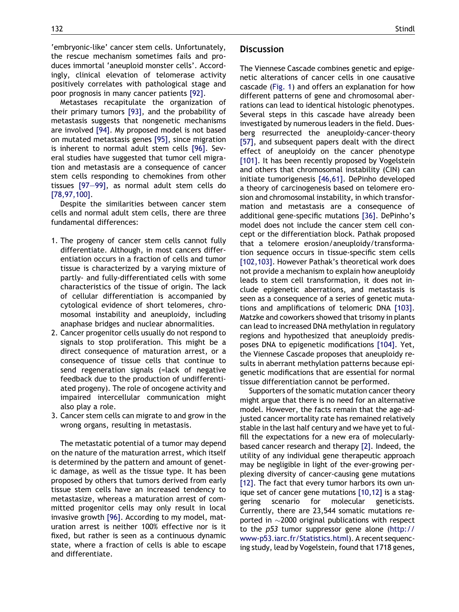'embryonic-like' cancer stem cells. Unfortunately, the rescue mechanism sometimes fails and produces immortal 'aneuploid monster cells'. Accordingly, clinical elevation of telomerase activity positively correlates with pathological stage and poor prognosis in many cancer patients [\[92\].](#page-13-0)

Metastases recapitulate the organization of their primary tumors [\[93\],](#page-13-0) and the probability of metastasis suggests that nongenetic mechanisms are involved [\[94\]](#page-13-0). My proposed model is not based on mutated metastasis genes [\[95\],](#page-13-0) since migration is inherent to normal adult stem cells [\[96\].](#page-13-0) Several studies have suggested that tumor cell migration and metastasis are a consequence of cancer stem cells responding to chemokines from other tissues [\[97–99\]](#page-13-0), as normal adult stem cells do [\[78,97,100\]](#page-12-0).

Despite the similarities between cancer stem cells and normal adult stem cells, there are three fundamental differences:

- 1. The progeny of cancer stem cells cannot fully differentiate. Although, in most cancers differentiation occurs in a fraction of cells and tumor tissue is characterized by a varying mixture of partly- and fully-differentiated cells with some characteristics of the tissue of origin. The lack of cellular differentiation is accompanied by cytological evidence of short telomeres, chromosomal instability and aneuploidy, including anaphase bridges and nuclear abnormalities.
- 2. Cancer progenitor cells usually do not respond to signals to stop proliferation. This might be a direct consequence of maturation arrest, or a consequence of tissue cells that continue to send regeneration signals (=lack of negative feedback due to the production of undifferentiated progeny). The role of oncogene activity and impaired intercellular communication might also play a role.
- 3. Cancer stem cells can migrate to and grow in the wrong organs, resulting in metastasis.

The metastatic potential of a tumor may depend on the nature of the maturation arrest, which itself is determined by the pattern and amount of genetic damage, as well as the tissue type. It has been proposed by others that tumors derived from early tissue stem cells have an increased tendency to metastasize, whereas a maturation arrest of committed progenitor cells may only result in local invasive growth [\[96\]](#page-13-0). According to my model, maturation arrest is neither 100% effective nor is it fixed, but rather is seen as a continuous dynamic state, where a fraction of cells is able to escape and differentiate.

#### **Discussion**

The Viennese Cascade combines genetic and epigenetic alterations of cancer cells in one causative cascade ([Fig. 1\)](#page-2-0) and offers an explanation for how different patterns of gene and chromosomal aberrations can lead to identical histologic phenotypes. Several steps in this cascade have already been investigated by numerous leaders in the field. Duesberg resurrected the aneuploidy-cancer-theory [\[57\]](#page-12-0), and subsequent papers dealt with the direct effect of aneuploidy on the cancer phenotype [\[101\]](#page-13-0). It has been recently proposed by Vogelstein and others that chromosomal instability (CIN) can initiate tumorigenesis [\[46,61\]](#page-12-0). DePinho developed a theory of carcinogenesis based on telomere erosion and chromosomal instability, in which transformation and metastasis are a consequence of additional gene-specific mutations [\[36\].](#page-11-0) DePinho's model does not include the cancer stem cell concept or the differentiation block. Pathak proposed that a telomere erosion/aneuploidy/transformation sequence occurs in tissue-specific stem cells [\[102,103\].](#page-13-0) However Pathak's theoretical work does not provide a mechanism to explain how aneuploidy leads to stem cell transformation, it does not include epigenetic aberrations, and metastasis is seen as a consequence of a series of genetic mutations and amplifications of telomeric DNA [\[103\].](#page-13-0) Matzke and coworkers showed that trisomy in plants can lead to increased DNA methylation in regulatory regions and hypothesized that aneuploidy predisposes DNA to epigenetic modifications [\[104\]](#page-13-0). Yet, the Viennese Cascade proposes that aneuploidy results in aberrant methylation patterns because epigenetic modifications that are essential for normal tissue differentiation cannot be performed.

Supporters of the somatic mutation cancer theory might argue that there is no need for an alternative model. However, the facts remain that the age-adjusted cancer mortality rate has remained relatively stable in the last half century and we have yet to fulfill the expectations for a new era of molecularlybased cancer research and therapy [\[2\]](#page-11-0). Indeed, the utility of any individual gene therapeutic approach may be negligible in light of the ever-growing perplexing diversity of cancer-causing gene mutations [\[12\].](#page-11-0) The fact that every tumor harbors its own unique set of cancer gene mutations [\[10,12\]](#page-11-0) is a staggering scenario for molecular geneticists. Currently, there are 23,544 somatic mutations reported in  $\sim$ 2000 original publications with respect to the p53 tumor suppressor gene alone [\(http://](http://www-p53.iarc.fr/Statistics.html) [www-p53.iarc.fr/Statistics.html](http://www-p53.iarc.fr/Statistics.html)). A recent sequencing study, lead by Vogelstein, found that 1718 genes,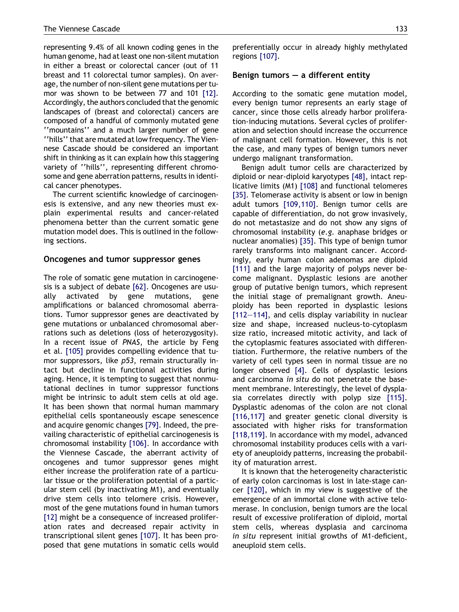representing 9.4% of all known coding genes in the human genome, had at least one non-silent mutation in either a breast or colorectal cancer (out of 11 breast and 11 colorectal tumor samples). On average, the number of non-silent gene mutations per tumor was shown to be between 77 and 101 [\[12\]](#page-11-0). Accordingly, the authors concluded that the genomic landscapes of (breast and colorectal) cancers are composed of a handful of commonly mutated gene ''mountains'' and a much larger number of gene ''hills'' that are mutated at low frequency. The Viennese Cascade should be considered an important shift in thinking as it can explain how this staggering variety of ''hills'', representing different chromosome and gene aberration patterns, results in identical cancer phenotypes.

The current scientific knowledge of carcinogenesis is extensive, and any new theories must explain experimental results and cancer-related phenomena better than the current somatic gene mutation model does. This is outlined in the following sections.

#### Oncogenes and tumor suppressor genes

The role of somatic gene mutation in carcinogenesis is a subject of debate [\[62\].](#page-12-0) Oncogenes are usually activated by gene mutations, gene amplifications or balanced chromosomal aberrations. Tumor suppressor genes are deactivated by gene mutations or unbalanced chromosomal aberrations such as deletions (loss of heterozygosity). In a recent issue of PNAS, the article by Feng et al. [\[105\]](#page-13-0) provides compelling evidence that tumor suppressors, like p53, remain structurally intact but decline in functional activities during aging. Hence, it is tempting to suggest that nonmutational declines in tumor suppressor functions might be intrinsic to adult stem cells at old age. It has been shown that normal human mammary epithelial cells spontaneously escape senescence and acquire genomic changes [\[79\]](#page-12-0). Indeed, the prevailing characteristic of epithelial carcinogenesis is chromosomal instability [\[106\]](#page-13-0). In accordance with the Viennese Cascade, the aberrant activity of oncogenes and tumor suppressor genes might either increase the proliferation rate of a particular tissue or the proliferation potential of a particular stem cell (by inactivating M1), and eventually drive stem cells into telomere crisis. However, most of the gene mutations found in human tumors [\[12\]](#page-11-0) might be a consequence of increased proliferation rates and decreased repair activity in transcriptional silent genes [\[107\].](#page-13-0) It has been proposed that gene mutations in somatic cells would preferentially occur in already highly methylated regions [\[107\].](#page-13-0)

#### Benign tumors  $-$  a different entity

According to the somatic gene mutation model, every benign tumor represents an early stage of cancer, since those cells already harbor proliferation-inducing mutations. Several cycles of proliferation and selection should increase the occurrence of malignant cell formation. However, this is not the case, and many types of benign tumors never undergo malignant transformation.

Benign adult tumor cells are characterized by diploid or near-diploid karyotypes [\[48\]](#page-12-0), intact replicative limits (M1) [\[108\]](#page-13-0) and functional telomeres [\[35\]](#page-11-0). Telomerase activity is absent or low in benign adult tumors [\[109,110\].](#page-13-0) Benign tumor cells are capable of differentiation, do not grow invasively, do not metastasize and do not show any signs of chromosomal instability (e.g. anaphase bridges or nuclear anomalies) [\[35\].](#page-11-0) This type of benign tumor rarely transforms into malignant cancer. Accordingly, early human colon adenomas are diploid [\[111\]](#page-13-0) and the large majority of polyps never become malignant. Dysplastic lesions are another group of putative benign tumors, which represent the initial stage of premalignant growth. Aneuploidy has been reported in dysplastic lesions [\[112–114\],](#page-13-0) and cells display variability in nuclear size and shape, increased nucleus-to-cytoplasm size ratio, increased mitotic activity, and lack of the cytoplasmic features associated with differentiation. Furthermore, the relative numbers of the variety of cell types seen in normal tissue are no longer observed [\[4\]](#page-11-0). Cells of dysplastic lesions and carcinoma in situ do not penetrate the basement membrane. Interestingly, the level of dysplasia correlates directly with polyp size [\[115\]](#page-13-0). Dysplastic adenomas of the colon are not clonal [\[116,117\]](#page-13-0) and greater genetic clonal diversity is associated with higher risks for transformation [\[118,119\].](#page-13-0) In accordance with my model, advanced chromosomal instability produces cells with a variety of aneuploidy patterns, increasing the probability of maturation arrest.

It is known that the heterogeneity characteristic of early colon carcinomas is lost in late-stage cancer [\[120\],](#page-14-0) which in my view is suggestive of the emergence of an immortal clone with active telomerase. In conclusion, benign tumors are the local result of excessive proliferation of diploid, mortal stem cells, whereas dysplasia and carcinoma in situ represent initial growths of M1-deficient, aneuploid stem cells.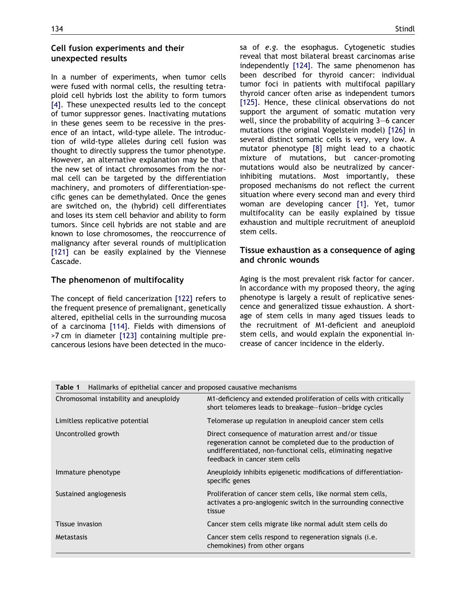### <span id="page-8-0"></span>Cell fusion experiments and their unexpected results

In a number of experiments, when tumor cells were fused with normal cells, the resulting tetraploid cell hybrids lost the ability to form tumors [\[4\].](#page-11-0) These unexpected results led to the concept of tumor suppressor genes. Inactivating mutations in these genes seem to be recessive in the presence of an intact, wild-type allele. The introduction of wild-type alleles during cell fusion was thought to directly suppress the tumor phenotype. However, an alternative explanation may be that the new set of intact chromosomes from the normal cell can be targeted by the differentiation machinery, and promoters of differentiation-specific genes can be demethylated. Once the genes are switched on, the (hybrid) cell differentiates and loses its stem cell behavior and ability to form tumors. Since cell hybrids are not stable and are known to lose chromosomes, the reoccurrence of malignancy after several rounds of multiplication [\[121\]](#page-14-0) can be easily explained by the Viennese Cascade.

## The phenomenon of multifocality

The concept of field cancerization [\[122\]](#page-14-0) refers to the frequent presence of premalignant, genetically altered, epithelial cells in the surrounding mucosa of a carcinoma [\[114\]](#page-13-0). Fields with dimensions of >7 cm in diameter [\[123\]](#page-14-0) containing multiple precancerous lesions have been detected in the mucosa of e.g. the esophagus. Cytogenetic studies reveal that most bilateral breast carcinomas arise independently [\[124\].](#page-14-0) The same phenomenon has been described for thyroid cancer: individual tumor foci in patients with multifocal papillary thyroid cancer often arise as independent tumors [\[125\]](#page-14-0). Hence, these clinical observations do not support the argument of somatic mutation very well, since the probability of acquiring 3–6 cancer mutations (the original Vogelstein model) [\[126\]](#page-14-0) in several distinct somatic cells is very, very low. A mutator phenotype [\[8\]](#page-11-0) might lead to a chaotic mixture of mutations, but cancer-promoting mutations would also be neutralized by cancerinhibiting mutations. Most importantly, these proposed mechanisms do not reflect the current situation where every second man and every third woman are developing cancer [\[1\].](#page-11-0) Yet, tumor multifocality can be easily explained by tissue exhaustion and multiple recruitment of aneuploid stem cells.

# Tissue exhaustion as a consequence of aging and chronic wounds

Aging is the most prevalent risk factor for cancer. In accordance with my proposed theory, the aging phenotype is largely a result of replicative senescence and generalized tissue exhaustion. A shortage of stem cells in many aged tissues leads to the recruitment of M1-deficient and aneuploid stem cells, and would explain the exponential increase of cancer incidence in the elderly.

| <b>Table 1</b> Hallmarks of epithelial cancer and proposed causative mechanisms |                                                                                                                                                                                                                     |
|---------------------------------------------------------------------------------|---------------------------------------------------------------------------------------------------------------------------------------------------------------------------------------------------------------------|
| Chromosomal instability and aneuploidy                                          | M1-deficiency and extended proliferation of cells with critically<br>short telomeres leads to breakage-fusion-bridge cycles                                                                                         |
| Limitless replicative potential                                                 | Telomerase up regulation in aneuploid cancer stem cells                                                                                                                                                             |
| Uncontrolled growth                                                             | Direct consequence of maturation arrest and/or tissue<br>regeneration cannot be completed due to the production of<br>undifferentiated, non-functional cells, eliminating negative<br>feedback in cancer stem cells |
| Immature phenotype                                                              | Aneuploidy inhibits epigenetic modifications of differentiation-<br>specific genes                                                                                                                                  |
| Sustained angiogenesis                                                          | Proliferation of cancer stem cells, like normal stem cells,<br>activates a pro-angiogenic switch in the surrounding connective<br>tissue                                                                            |
| Tissue invasion                                                                 | Cancer stem cells migrate like normal adult stem cells do                                                                                                                                                           |
| Metastasis                                                                      | Cancer stem cells respond to regeneration signals ( <i>i.e.</i><br>chemokines) from other organs                                                                                                                    |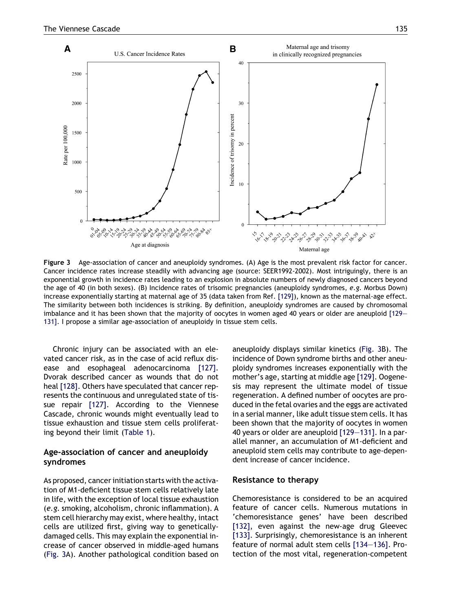<span id="page-9-0"></span>

Figure 3 Age-association of cancer and aneuploidy syndromes. (A) Age is the most prevalent risk factor for cancer. Cancer incidence rates increase steadily with advancing age (source: SEER1992-2002). Most intriguingly, there is an exponential growth in incidence rates leading to an explosion in absolute numbers of newly diagnosed cancers beyond the age of 40 (in both sexes). (B) Incidence rates of trisomic pregnancies (aneuploidy syndromes, e.g. Morbus Down) increase exponentially starting at maternal age of 35 (data taken from Ref. [\[129\]](#page-14-0)), known as the maternal-age effect. The similarity between both incidences is striking. By definition, aneuploidy syndromes are caused by chromosomal imbalance and it has been shown that the majority of oocytes in women aged 40 years or older are aneuploid [\[129–](#page-14-0) [131\].](#page-14-0) I propose a similar age-association of aneuploidy in tissue stem cells.

Chronic injury can be associated with an elevated cancer risk, as in the case of acid reflux disease and esophageal adenocarcinoma [\[127\]](#page-14-0). Dvorak described cancer as wounds that do not heal [\[128\].](#page-14-0) Others have speculated that cancer represents the continuous and unregulated state of tissue repair [\[127\]](#page-14-0). According to the Viennese Cascade, chronic wounds might eventually lead to tissue exhaustion and tissue stem cells proliferating beyond their limit [\(Table 1\)](#page-8-0).

## Age-association of cancer and aneuploidy syndromes

As proposed, cancer initiation starts with the activation of M1-deficient tissue stem cells relatively late in life, with the exception of local tissue exhaustion (e.g. smoking, alcoholism, chronic inflammation). A stem cell hierarchy may exist, where healthy, intact cells are utilized first, giving way to geneticallydamaged cells. This may explain the exponential increase of cancer observed in middle-aged humans (Fig. 3A). Another pathological condition based on aneuploidy displays similar kinetics (Fig. 3B). The incidence of Down syndrome births and other aneuploidy syndromes increases exponentially with the mother's age, starting at middle age [\[129\]](#page-14-0). Oogenesis may represent the ultimate model of tissue regeneration. A defined number of oocytes are produced in the fetal ovaries and the eggs are activated in a serial manner, like adult tissue stem cells. It has been shown that the majority of oocytes in women 40 years or older are aneuploid [\[129–131\]](#page-14-0). In a parallel manner, an accumulation of M1-deficient and aneuploid stem cells may contribute to age-dependent increase of cancer incidence.

#### Resistance to therapy

Chemoresistance is considered to be an acquired feature of cancer cells. Numerous mutations in 'chemoresistance genes' have been described [\[132\],](#page-14-0) even against the new-age drug Gleevec [\[133\].](#page-14-0) Surprisingly, chemoresistance is an inherent feature of normal adult stem cells [\[134–136\].](#page-14-0) Protection of the most vital, regeneration-competent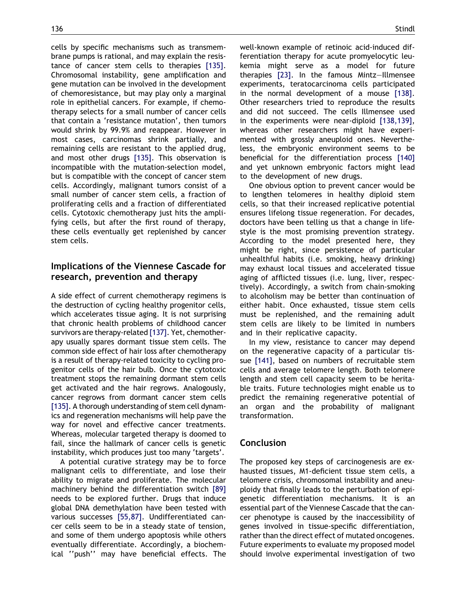cells by specific mechanisms such as transmembrane pumps is rational, and may explain the resistance of cancer stem cells to therapies [\[135\].](#page-14-0) Chromosomal instability, gene amplification and gene mutation can be involved in the development of chemoresistance, but may play only a marginal role in epithelial cancers. For example, if chemotherapy selects for a small number of cancer cells that contain a 'resistance mutation', then tumors would shrink by 99.9% and reappear. However in most cases, carcinomas shrink partially, and remaining cells are resistant to the applied drug, and most other drugs [\[135\].](#page-14-0) This observation is incompatible with the mutation-selection model, but is compatible with the concept of cancer stem cells. Accordingly, malignant tumors consist of a small number of cancer stem cells, a fraction of proliferating cells and a fraction of differentiated cells. Cytotoxic chemotherapy just hits the amplifying cells, but after the first round of therapy, these cells eventually get replenished by cancer stem cells.

# Implications of the Viennese Cascade for research, prevention and therapy

A side effect of current chemotherapy regimens is the destruction of cycling healthy progenitor cells, which accelerates tissue aging. It is not surprising that chronic health problems of childhood cancer survivors are therapy-related [\[137\]](#page-14-0). Yet, chemotherapy usually spares dormant tissue stem cells. The common side effect of hair loss after chemotherapy is a result of therapy-related toxicity to cycling progenitor cells of the hair bulb. Once the cytotoxic treatment stops the remaining dormant stem cells get activated and the hair regrows. Analogously, cancer regrows from dormant cancer stem cells [\[135\].](#page-14-0) A thorough understanding of stem cell dynamics and regeneration mechanisms will help pave the way for novel and effective cancer treatments. Whereas, molecular targeted therapy is doomed to fail, since the hallmark of cancer cells is genetic instability, which produces just too many 'targets'.

A potential curative strategy may be to force malignant cells to differentiate, and lose their ability to migrate and proliferate. The molecular machinery behind the differentiation switch [\[89\]](#page-13-0) needs to be explored further. Drugs that induce global DNA demethylation have been tested with various successes [\[55,87\]](#page-12-0). Undifferentiated cancer cells seem to be in a steady state of tension, and some of them undergo apoptosis while others eventually differentiate. Accordingly, a biochemical ''push'' may have beneficial effects. The well-known example of retinoic acid-induced differentiation therapy for acute promyelocytic leukemia might serve as a model for future therapies [\[23\].](#page-11-0) In the famous Mintz–Illmensee experiments, teratocarcinoma cells participated in the normal development of a mouse [\[138\].](#page-14-0) Other researchers tried to reproduce the results and did not succeed. The cells Illmensee used in the experiments were near-diploid [\[138,139\],](#page-14-0) whereas other researchers might have experimented with grossly aneuploid ones. Nevertheless, the embryonic environment seems to be beneficial for the differentiation process [\[140\]](#page-14-0) and yet unknown embryonic factors might lead to the development of new drugs.

One obvious option to prevent cancer would be to lengthen telomeres in healthy diploid stem cells, so that their increased replicative potential ensures lifelong tissue regeneration. For decades, doctors have been telling us that a change in lifestyle is the most promising prevention strategy. According to the model presented here, they might be right, since persistence of particular unhealthful habits (i.e. smoking, heavy drinking) may exhaust local tissues and accelerated tissue aging of afflicted tissues (i.e. lung, liver, respectively). Accordingly, a switch from chain-smoking to alcoholism may be better than continuation of either habit. Once exhausted, tissue stem cells must be replenished, and the remaining adult stem cells are likely to be limited in numbers and in their replicative capacity.

In my view, resistance to cancer may depend on the regenerative capacity of a particular tissue [\[141\],](#page-14-0) based on numbers of recruitable stem cells and average telomere length. Both telomere length and stem cell capacity seem to be heritable traits. Future technologies might enable us to predict the remaining regenerative potential of an organ and the probability of malignant transformation.

# Conclusion

The proposed key steps of carcinogenesis are exhausted tissues, M1-deficient tissue stem cells, a telomere crisis, chromosomal instability and aneuploidy that finally leads to the perturbation of epigenetic differentiation mechanisms. It is an essential part of the Viennese Cascade that the cancer phenotype is caused by the inaccessibility of genes involved in tissue-specific differentiation, rather than the direct effect of mutated oncogenes. Future experiments to evaluate my proposed model should involve experimental investigation of two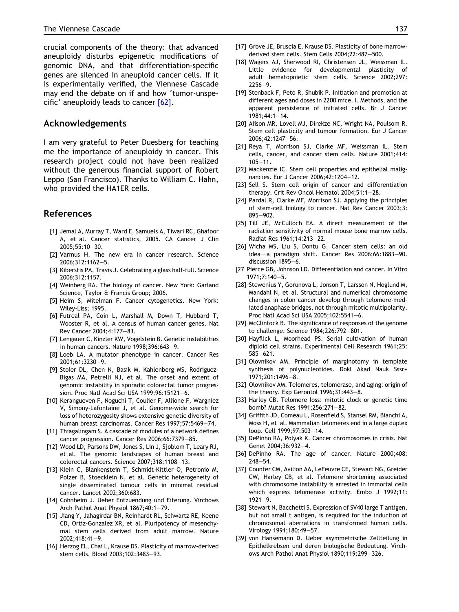<span id="page-11-0"></span>crucial components of the theory: that advanced aneuploidy disturbs epigenetic modifications of genomic DNA, and that differentiation-specific genes are silenced in aneuploid cancer cells. If it is experimentally verified, the Viennese Cascade may end the debate on if and how 'tumor-unspecific' aneuploidy leads to cancer [\[62\]](#page-12-0).

#### Acknowledgements

I am very grateful to Peter Duesberg for teaching me the importance of aneuploidy in cancer. This research project could not have been realized without the generous financial support of Robert Leppo (San Francisco). Thanks to William C. Hahn, who provided the HA1ER cells.

#### References

- [1] Jemal A, Murray T, Ward E, Samuels A, Tiwari RC, Ghafoor A, et al. Cancer statistics, 2005. CA Cancer J Clin 2005;55:10–30.
- [2] Varmus H. The new era in cancer research. Science 2006;312:1162–5.
- [3] Kiberstis PA, Travis J. Celebrating a glass half-full. Science 2006;312:1157.
- [4] Weinberg RA. The biology of cancer. New York: Garland Science, Taylor & Francis Group; 2006.
- [5] Heim S, Mitelman F. Cancer cytogenetics. New York: Wiley-Liss; 1995.
- [6] Futreal PA, Coin L, Marshall M, Down T, Hubbard T, Wooster R, et al. A census of human cancer genes. Nat Rev Cancer 2004;4:177–83.
- [7] Lengauer C, Kinzler KW, Vogelstein B. Genetic instabilities in human cancers. Nature 1998;396:643–9.
- [8] Loeb LA. A mutator phenotype in cancer. Cancer Res 2001;61:3230–9.
- [9] Stoler DL, Chen N, Basik M, Kahlenberg MS, Rodriguez-Bigas MA, Petrelli NJ, et al. The onset and extent of genomic instability in sporadic colorectal tumor progression. Proc Natl Acad Sci USA 1999;96:15121–6.
- [10] Kerangueven F, Noguchi T, Coulier F, Allione F, Wargniez V, Simony-Lafontaine J, et al. Genome-wide search for loss of heterozygosity shows extensive genetic diversity of human breast carcinomas. Cancer Res 1997;57:5469–74.
- [11] Thiagalingam S. A cascade of modules of a network defines cancer progression. Cancer Res 2006;66:7379–85.
- [12] Wood LD, Parsons DW, Jones S, Lin J, Sjoblom T, Leary RJ, et al. The genomic landscapes of human breast and colorectal cancers. Science 2007;318:1108–13.
- [13] Klein C, Blankenstein T, Schmidt-Kittler O, Petronio M, Polzer B, Stoecklein N, et al. Genetic heterogeneity of single disseminated tumour cells in minimal residual cancer. Lancet 2002;360:683.
- [14] Cohnheim J. Ueber Entzuendung und Eiterung. Virchows Arch Pathol Anat Physiol 1867;40:1–79.
- [15] Jiang Y, Jahagirdar BN, Reinhardt RL, Schwartz RE, Keene CD, Ortiz-Gonzalez XR, et al. Pluripotency of mesenchymal stem cells derived from adult marrow. Nature 2002;418:41–9.
- [16] Herzog EL, Chai L, Krause DS. Plasticity of marrow-derived stem cells. Blood 2003;102:3483–93.
- [17] Grove JE, Bruscia E, Krause DS, Plasticity of bone marrowderived stem cells. Stem Cells 2004;22:487–500.
- [18] Wagers AJ, Sherwood RI, Christensen JL, Weissman IL. Little evidence for developmental plasticity of adult hematopoietic stem cells. Science 2002;297: 2256–9.
- [19] Stenback F, Peto R, Shubik P. Initiation and promotion at different ages and doses in 2200 mice. I. Methods, and the apparent persistence of initiated cells. Br J Cancer 1981;44:1–14.
- [20] Alison MR, Lovell MJ, Direkze NC, Wright NA, Poulsom R. Stem cell plasticity and tumour formation. Eur J Cancer 2006;42:1247–56.
- [21] Reya T, Morrison SJ, Clarke MF, Weissman IL. Stem cells, cancer, and cancer stem cells. Nature 2001;414: 105–11.
- [22] Mackenzie IC. Stem cell properties and epithelial malignancies. Eur J Cancer 2006;42:1204–12.
- [23] Sell S. Stem cell origin of cancer and differentiation therapy. Crit Rev Oncol Hematol 2004;51:1–28.
- [24] Pardal R, Clarke MF, Morrison SJ. Applying the principles of stem-cell biology to cancer. Nat Rev Cancer 2003;3: 895–902.
- [25] Till JE, McCulloch EA. A direct measurement of the radiation sensitivity of normal mouse bone marrow cells. Radiat Res 1961;14:213–22.
- [26] Wicha MS, Liu S, Dontu G. Cancer stem cells: an old idea—a paradigm shift. Cancer Res 2006;66:1883–90. discussion 1895–6.
- [27 Pierce GB, Johnson LD. Differentiation and cancer. In Vitro 1971;7:140–5.
- [28] Stewenius Y, Gorunova L, Jonson T, Larsson N, Hoglund M, Mandahl N, et al. Structural and numerical chromosome changes in colon cancer develop through telomere-mediated anaphase bridges, not through mitotic multipolarity. Proc Natl Acad Sci USA 2005;102:5541–6.
- [29] McClintock B. The significance of responses of the genome to challenge. Science 1984;226:792–801.
- [30] Hayflick L, Moorhead PS. Serial cultivation of human diploid cell strains. Experimental Cell Research 1961;25: 585–621.
- [31] Olovnikov AM. Principle of marginotomy in template synthesis of polynucleotides. Dokl Akad Nauk Sssr+ 1971;201:1496–8.
- [32] Olovnikov AM. Telomeres, telomerase, and aging: origin of the theory. Exp Gerontol 1996;31:443–8.
- [33] Harley CB. Telomere loss: mitotic clock or genetic time bomb? Mutat Res 1991;256:271–82.
- [34] Griffith JD, Comeau L, Rosenfield S, Stansel RM, Bianchi A, Moss H, et al. Mammalian telomeres end in a large duplex loop. Cell 1999;97:503–14.
- [35] DePinho RA, Polyak K. Cancer chromosomes in crisis. Nat Genet 2004;36:932–4.
- [36] DePinho RA. The age of cancer. Nature 2000;408: 248–54.
- [37] Counter CM, Avilion AA, LeFeuvre CE, Stewart NG, Greider CW, Harley CB, et al. Telomere shortening associated with chromosome instability is arrested in immortal cells which express telomerase activity. Embo J 1992;11: 1921–9.
- [38] Stewart N, Bacchetti S. Expression of SV40 large T antigen, but not small t antigen, is required for the induction of chromosomal aberrations in transformed human cells. Virology 1991;180:49–57.
- [39] von Hansemann D. Ueber asymmetrische Zellteilung in Epithelkrebsen und deren biologische Bedeutung. Virchows Arch Pathol Anat Physiol 1890;119:299–326.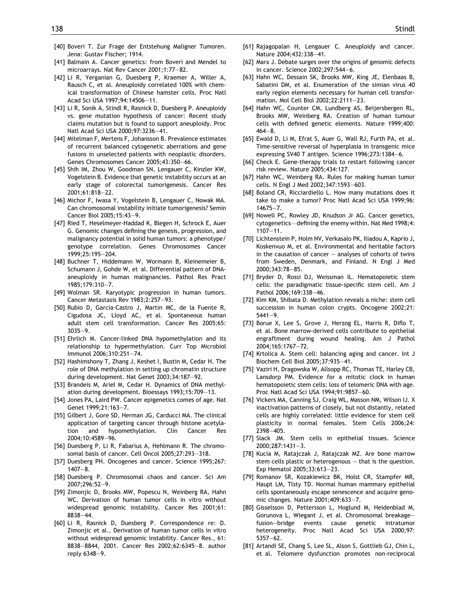- <span id="page-12-0"></span>[40] Boveri T. Zur Frage der Entstehung Maligner Tumoren. Jena: Gustav Fischer; 1914.
- [41] Balmain A. Cancer genetics: from Boveri and Mendel to microarrays. Nat Rev Cancer 2001;1:77–82.
- [42] Li R, Yerganian G, Duesberg P, Kraemer A, Willer A, Rausch C, et al. Aneuploidy correlated 100% with chemical transformation of Chinese hamster cells. Proc Natl Acad Sci USA 1997;94:14506–11.
- [43] Li R, Sonik A, Stindl R, Rasnick D, Duesberg P. Aneuploidy vs. gene mutation hypothesis of cancer: Recent study claims mutation but is found to support aneuploidy. Proc Natl Acad Sci USA 2000;97:3236–41.
- [44] Mitelman F, Mertens F, Johansson B. Prevalence estimates of recurrent balanced cytogenetic aberrations and gene fusions in unselected patients with neoplastic disorders. Genes Chromosomes Cancer 2005;43:350–66.
- [45] Shih IM, Zhou W, Goodman SN, Lengauer C, Kinzler KW, Vogelstein B. Evidence that genetic instability occurs at an early stage of colorectal tumorigenesis. Cancer Res 2001;61:818–22.
- [46] Michor F, Iwasa Y, Vogelstein B, Lengauer C, Nowak MA. Can chromosomal instability initiate tumorigenesis? Semin Cancer Biol 2005;15:43–9.
- [47] Ried T, Heselmeyer-Haddad K, Blegen H, Schrock E, Auer G. Genomic changes defining the genesis, progression, and malignancy potential in solid human tumors: a phenotype/ genotype correlation. Genes Chromosomes Cancer 1999;25:195–204.
- [48] Buchner T, Hiddemann W, Wormann B, Kleinemeier B, Schumann J, Gohde W, et al. Differential pattern of DNAaneuploidy in human malignancies. Pathol Res Pract 1985;179:310–7.
- [49] Wolman SR. Karyotypic progression in human tumors. Cancer Metastasis Rev 1983;2:257–93.
- [50] Rubio D, Garcia-Castro J, Martin MC, de la Fuente R, Cigudosa JC, Lloyd AC, et al. Spontaneous human adult stem cell transformation. Cancer Res 2005;65: 3035–9.
- [51] Ehrlich M. Cancer-linked DNA hypomethylation and its relationship to hypermethylation. Curr Top Microbiol Immunol 2006;310:251–74.
- [52] Hashimshony T, Zhang J, Keshet I, Bustin M, Cedar H. The role of DNA methylation in setting up chromatin structure during development. Nat Genet 2003;34:187–92.
- [53] Brandeis M, Ariel M, Cedar H. Dynamics of DNA methylation during development. Bioessays 1993;15:709–13.
- [54] Jones PA, Laird PW. Cancer epigenetics comes of age. Nat Genet 1999;21:163–7.
- [55] Gilbert J, Gore SD, Herman JG, Carducci MA. The clinical application of targeting cancer through histone acetylation and hypomethylation. Clin Cancer Res 2004;10:4589–96.
- [56] Duesberg P, Li R, Fabarius A, Hehlmann R. The chromosomal basis of cancer. Cell Oncol 2005;27:293–318.
- [57] Duesberg PH. Oncogenes and cancer. Science 1995;267: 1407–8.
- [58] Duesberg P. Chromosomal chaos and cancer. Sci Am 2007;296:52–9.
- [59] Zimonjic D, Brooks MW, Popescu N, Weinberg RA, Hahn WC. Derivation of human tumor cells in vitro without widespread genomic instability. Cancer Res 2001;61: 8838–44.
- [60] Li R, Rasnick D, Duesberg P. Correspondence re: D. Zimonjic et al., Derivation of human tumor cells in vitro without widespread genomic instability. Cancer Res., 61: 8838–8844, 2001. Cancer Res 2002;62:6345–8. author reply 6348–9.
- [61] Rajagopalan H, Lengauer C. Aneuploidy and cancer. Nature 2004;432:338–41.
- [62] Marx J. Debate surges over the origins of genomic defects in cancer. Science 2002;297:544–6.
- [63] Hahn WC, Dessain SK, Brooks MW, King JE, Elenbaas B, Sabatini DM, et al. Enumeration of the simian virus 40 early region elements necessary for human cell transformation. Mol Cell Biol 2002;22:2111–23.
- [64] Hahn WC, Counter CM, Lundberg AS, Beijersbergen RL, Brooks MW, Weinberg RA. Creation of human tumour cells with defined genetic elements. Nature 1999;400:  $464 - 8$ .
- [65] Ewald D, Li M, Efrat S, Auer G, Wall RJ, Furth PA, et al. Time-sensitive reversal of hyperplasia in transgenic mice expressing SV40 T antigen. Science 1996;273:1384–6.
- [66] Check E. Gene-therapy trials to restart following cancer risk review. Nature 2005;434:127.
- [67] Hahn WC, Weinberg RA. Rules for making human tumor cells. N Engl J Med 2002;347:1593–603.
- [68] Boland CR, Ricciardiello L. How many mutations does it take to make a tumor? Proc Natl Acad Sci USA 1999;96: 14675–7.
- [69] Nowell PC, Rowley JD, Knudson Jr AG. Cancer genetics, cytogenetics—defining the enemy within. Nat Med 1998;4: 1107–11.
- [70] Lichtenstein P, Holm NV, Verkasalo PK, Iliadou A, Kaprio J, Koskenvuo M, et al. Environmental and heritable factors in the causation of cancer  $-$  analyses of cohorts of twins from Sweden, Denmark, and Finland. N Engl J Med 2000;343:78–85.
- [71] Bryder D, Rossi DJ, Weissman IL. Hematopoietic stem cells: the paradigmatic tissue-specific stem cell. Am J Pathol 2006;169:338–46.
- [72] Kim KM, Shibata D. Methylation reveals a niche: stem cell succession in human colon crypts. Oncogene 2002;21: 5441–9.
- [73] Borue X, Lee S, Grove J, Herzog EL, Harris R, Diflo T, et al. Bone marrow-derived cells contribute to epithelial engraftment during wound healing. Am J Pathol 2004;165:1767–72.
- [74] Krtolica A. Stem cell: balancing aging and cancer. Int J Biochem Cell Biol 2005;37:935–41.
- [75] Vaziri H, Dragowska W, Allsopp RC, Thomas TE, Harley CB, Lansdorp PM. Evidence for a mitotic clock in human hematopoietic stem cells: loss of telomeric DNA with age. Proc Natl Acad Sci USA 1994;91:9857–60.
- [76] Vickers MA, Canning SJ, Craig WL, Masson NM, Wilson IJ. X inactivation patterns of closely, but not distantly, related cells are highly correlated: little evidence for stem cell plasticity in normal females. Stem Cells 2006;24: 2398–405.
- [77] Slack JM. Stem cells in epithelial tissues. Science 2000;287:1431–3.
- [78] Kucia M, Ratajczak J, Ratajczak MZ. Are bone marrow stem cells plastic or heterogenous – that is the question. Exp Hematol 2005;33:613–23.
- [79] Romanov SR, Kozakiewicz BK, Holst CR, Stampfer MR, Haupt LM, Tlsty TD. Normal human mammary epithelial cells spontaneously escape senescence and acquire genomic changes. Nature 2001;409:633–7.
- [80] Gisselsson D, Pettersson L, Hoglund M, Heidenblad M, Gorunova L, Wiegant J, et al. Chromosomal breakage– fusion–bridge events cause genetic intratumor heterogeneity. Proc Natl Acad Sci USA 2000;97: 5357–62.
- [81] Artandi SE, Chang S, Lee SL, Alson S, Gottlieb GJ, Chin L, et al. Telomere dysfunction promotes non-reciprocal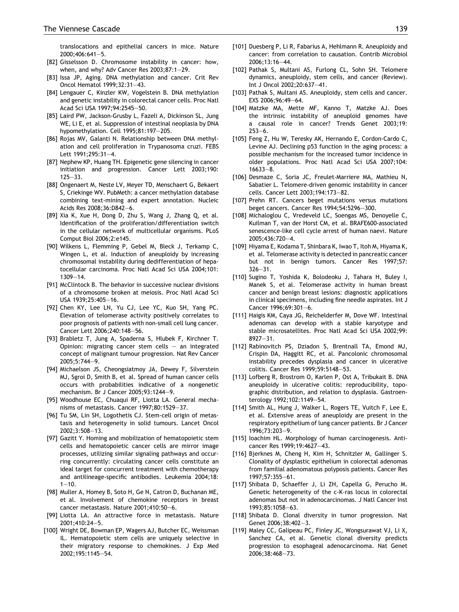<span id="page-13-0"></span>translocations and epithelial cancers in mice. Nature 2000;406:641–5.

- [82] Gisselsson D. Chromosome instability in cancer: how, when, and why? Adv Cancer Res 2003;87:1–29.
- [83] Issa JP, Aging. DNA methylation and cancer. Crit Rev Oncol Hematol 1999;32:31–43.
- [84] Lengauer C, Kinzler KW, Vogelstein B. DNA methylation and genetic instability in colorectal cancer cells. Proc Natl Acad Sci USA 1997;94:2545–50.
- [85] Laird PW, Jackson-Grusby L, Fazeli A, Dickinson SL, Jung WE, Li E, et al. Suppression of intestinal neoplasia by DNA hypomethylation. Cell 1995;81:197–205.
- [86] Rojas MV, Galanti N. Relationship between DNA methylation and cell proliferation in Trypanosoma cruzi. FEBS Lett 1991;295:31–4.
- [87] Nephew KP, Huang TH. Epigenetic gene silencing in cancer initiation and progression. Cancer Lett 2003;190: 125–33.
- [88] Ongenaert M, Neste LV, Meyer TD, Menschaert G, Bekaert S, Criekinge WV. PubMeth: a cancer methylation database combining text-mining and expert annotation. Nucleic Acids Res 2008;36:D842–6.
- [89] Xia K, Xue H, Dong D, Zhu S, Wang J, Zhang Q, et al. Identification of the proliferation/differentiation switch in the cellular network of multicellular organisms. PLoS Comput Biol 2006;2:e145.
- [90] Wilkens L, Flemming P, Gebel M, Bleck J, Terkamp C, Wingen L, et al. Induction of aneuploidy by increasing chromosomal instability during dedifferentiation of hepatocellular carcinoma. Proc Natl Acad Sci USA 2004;101: 1309–14.
- [91] McClintock B. The behavior in successive nuclear divisions of a chromosome broken at meiosis. Proc Natl Acad Sci USA 1939;25:405–16.
- [92] Chen KY, Lee LN, Yu CJ, Lee YC, Kuo SH, Yang PC. Elevation of telomerase activity positively correlates to poor prognosis of patients with non-small cell lung cancer. Cancer Lett 2006;240:148–56.
- [93] Brabletz T, Jung A, Spaderna S, Hlubek F, Kirchner T. Opinion: migrating cancer stem cells – an integrated concept of malignant tumour progression. Nat Rev Cancer 2005;5:744–9.
- [94] Michaelson JS, Cheongsiatmoy JA, Dewey F, Silverstein MJ, Sgroi D, Smith B, et al. Spread of human cancer cells occurs with probabilities indicative of a nongenetic mechanism. Br J Cancer 2005;93:1244–9.
- [95] Woodhouse EC, Chuaqui RF, Liotta LA. General mechanisms of metastasis. Cancer 1997;80:1529–37.
- [96] Tu SM, Lin SH, Logothetis CJ. Stem-cell origin of metastasis and heterogeneity in solid tumours. Lancet Oncol 2002;3:508–13.
- [97] Gazitt Y. Homing and mobilization of hematopoietic stem cells and hematopoietic cancer cells are mirror image processes, utilizing similar signaling pathways and occurring concurrently: circulating cancer cells constitute an ideal target for concurrent treatment with chemotherapy and antilineage-specific antibodies. Leukemia 2004;18:  $1 - 10$ .
- [98] Muller A, Homey B, Soto H, Ge N, Catron D, Buchanan ME, et al. Involvement of chemokine receptors in breast cancer metastasis. Nature 2001;410:50–6.
- [99] Liotta LA. An attractive force in metastasis. Nature 2001;410:24–5.
- [100] Wright DE, Bowman EP, Wagers AJ, Butcher EC, Weissman IL. Hematopoietic stem cells are uniquely selective in their migratory response to chemokines. J Exp Med 2002;195:1145–54.
- [101] Duesberg P, Li R, Fabarius A, Hehlmann R, Aneuploidy and cancer: from correlation to causation. Contrib Microbiol 2006;13:16–44.
- [102] Pathak S, Multani AS, Furlong CL, Sohn SH. Telomere dynamics, aneuploidy, stem cells, and cancer (Review). Int J Oncol 2002;20:637–41.
- [103] Pathak S, Multani AS. Aneuploidy, stem cells and cancer. EXS 2006;96:49–64.
- [104] Matzke MA, Mette MF, Kanno T, Matzke AJ. Does the intrinsic instability of aneuploid genomes have a causal role in cancer? Trends Genet 2003;19: 253–6.
- [105] Feng Z, Hu W, Teresky AK, Hernando E, Cordon-Cardo C, Levine AJ. Declining p53 function in the aging process: a possible mechanism for the increased tumor incidence in older populations. Proc Natl Acad Sci USA 2007;104: 16633–8.
- [106] Desmaze C, Soria JC, Freulet-Marriere MA, Mathieu N, Sabatier L. Telomere-driven genomic instability in cancer cells. Cancer Lett 2003;194:173–82.
- [107] Prehn RT. Cancers beget mutations versus mutations beget cancers. Cancer Res 1994;54:5296–300.
- [108] Michaloglou C, Vredeveld LC, Soengas MS, Denoyelle C, Kuilman T, van der Horst CM, et al. BRAFE600-associated senescence-like cell cycle arrest of human naevi. Nature 2005;436:720–4.
- [109] Hiyama E, Kodama T, Shinbara K, Iwao T, Itoh M, Hiyama K, et al. Telomerase activity is detected in pancreatic cancer but not in benign tumors. Cancer Res 1997;57: 326–31.
- [110] Sugino T, Yoshida K, Bolodeoku J, Tahara H, Buley I, Manek S, et al. Telomerase activity in human breast cancer and benign breast lesions: diagnostic applications in clinical specimens, including fine needle aspirates. Int J Cancer 1996;69:301–6.
- [111] Haigis KM, Caya JG, Reichelderfer M, Dove WF. Intestinal adenomas can develop with a stable karyotype and stable microsatellites. Proc Natl Acad Sci USA 2002;99: 8927–31.
- [112] Rabinovitch PS, Dziadon S, Brentnall TA, Emond MJ, Crispin DA, Haggitt RC, et al. Pancolonic chromosomal instability precedes dysplasia and cancer in ulcerative colitis. Cancer Res 1999;59:5148–53.
- [113] Lofberg R, Brostrom O, Karlen P, Ost A, Tribukait B. DNA aneuploidy in ulcerative colitis: reproducibility, topographic distribution, and relation to dysplasia. Gastroenterology 1992;102:1149–54.
- [114] Smith AL, Hung J, Walker L, Rogers TE, Vuitch F, Lee E, et al. Extensive areas of aneuploidy are present in the respiratory epithelium of lung cancer patients. Br J Cancer 1996;73:203–9.
- [115] Ioachim HL. Morphology of human carcinogenesis. Anticancer Res 1999;19:4627–43.
- [116] Bjerknes M, Cheng H, Kim H, Schnitzler M, Gallinger S. Clonality of dysplastic epithelium in colorectal adenomas from familial adenomatous polyposis patients. Cancer Res 1997;57:355–61.
- [117] Shibata D, Schaeffer J, Li ZH, Capella G, Perucho M. Genetic heterogeneity of the c-K-ras locus in colorectal adenomas but not in adenocarcinomas. J Natl Cancer Inst 1993;85:1058–63.
- [118] Shibata D. Clonal diversity in tumor progression. Nat Genet 2006;38:402–3.
- [119] Maley CC, Galipeau PC, Finley JC, Wongsurawat VJ, Li X, Sanchez CA, et al. Genetic clonal diversity predicts progression to esophageal adenocarcinoma. Nat Genet 2006;38:468–73.